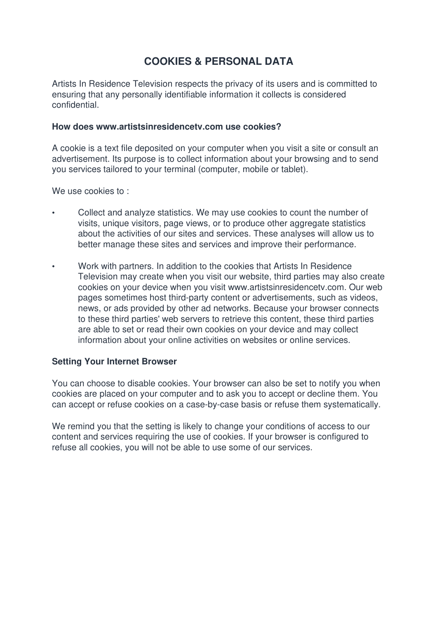# **COOKIES & PERSONAL DATA**

Artists In Residence Television respects the privacy of its users and is committed to ensuring that any personally identifiable information it collects is considered confidential.

### **How does www.artistsinresidencetv.com use cookies?**

A cookie is a text file deposited on your computer when you visit a site or consult an advertisement. Its purpose is to collect information about your browsing and to send you services tailored to your terminal (computer, mobile or tablet).

We use cookies to:

- Collect and analyze statistics. We may use cookies to count the number of visits, unique visitors, page views, or to produce other aggregate statistics about the activities of our sites and services. These analyses will allow us to better manage these sites and services and improve their performance.
- Work with partners. In addition to the cookies that Artists In Residence Television may create when you visit our website, third parties may also create cookies on your device when you visit www.artistsinresidencetv.com. Our web pages sometimes host third-party content or advertisements, such as videos, news, or ads provided by other ad networks. Because your browser connects to these third parties' web servers to retrieve this content, these third parties are able to set or read their own cookies on your device and may collect information about your online activities on websites or online services.

## **Setting Your Internet Browser**

You can choose to disable cookies. Your browser can also be set to notify you when cookies are placed on your computer and to ask you to accept or decline them. You can accept or refuse cookies on a case-by-case basis or refuse them systematically.

We remind you that the setting is likely to change your conditions of access to our content and services requiring the use of cookies. If your browser is configured to refuse all cookies, you will not be able to use some of our services.